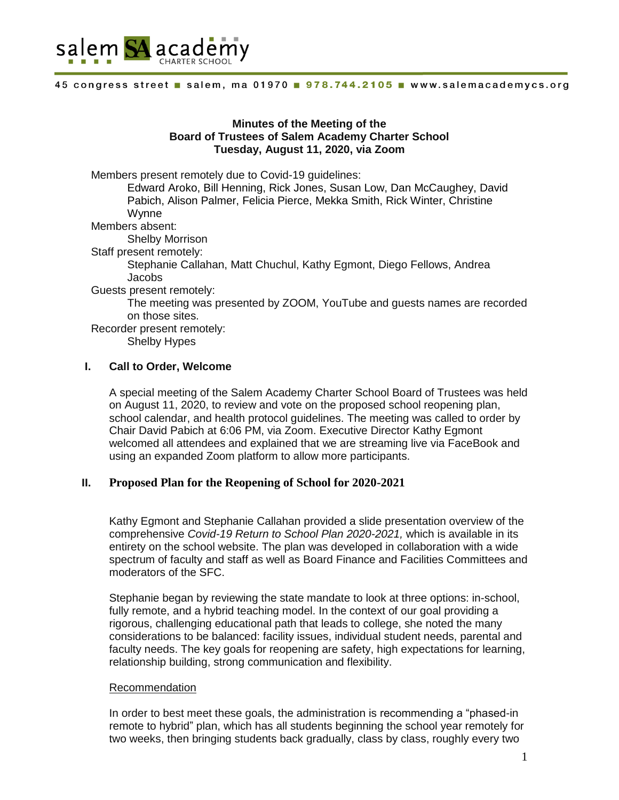

#### 45 congress street salem, ma 01970 . 978.744.2105 . www.salemacademycs.org

# **Minutes of the Meeting of the Board of Trustees of Salem Academy Charter School Tuesday, August 11, 2020, via Zoom**

Members present remotely due to Covid-19 guidelines:

Edward Aroko, Bill Henning, Rick Jones, Susan Low, Dan McCaughey, David Pabich, Alison Palmer, Felicia Pierce, Mekka Smith, Rick Winter, Christine Wynne

Members absent:

Shelby Morrison

Staff present remotely:

Stephanie Callahan, Matt Chuchul, Kathy Egmont, Diego Fellows, Andrea Jacobs

Guests present remotely:

The meeting was presented by ZOOM, YouTube and guests names are recorded on those sites.

Recorder present remotely:

Shelby Hypes

### **I. Call to Order, Welcome**

A special meeting of the Salem Academy Charter School Board of Trustees was held on August 11, 2020, to review and vote on the proposed school reopening plan, school calendar, and health protocol guidelines. The meeting was called to order by Chair David Pabich at 6:06 PM, via Zoom. Executive Director Kathy Egmont welcomed all attendees and explained that we are streaming live via FaceBook and using an expanded Zoom platform to allow more participants.

### **II. Proposed Plan for the Reopening of School for 2020-2021**

Kathy Egmont and Stephanie Callahan provided a slide presentation overview of the comprehensive *Covid-19 Return to School Plan 2020-2021,* which is available in its entirety on the school website. The plan was developed in collaboration with a wide spectrum of faculty and staff as well as Board Finance and Facilities Committees and moderators of the SFC.

Stephanie began by reviewing the state mandate to look at three options: in-school, fully remote, and a hybrid teaching model. In the context of our goal providing a rigorous, challenging educational path that leads to college, she noted the many considerations to be balanced: facility issues, individual student needs, parental and faculty needs. The key goals for reopening are safety, high expectations for learning, relationship building, strong communication and flexibility.

#### Recommendation

In order to best meet these goals, the administration is recommending a "phased-in remote to hybrid" plan, which has all students beginning the school year remotely for two weeks, then bringing students back gradually, class by class, roughly every two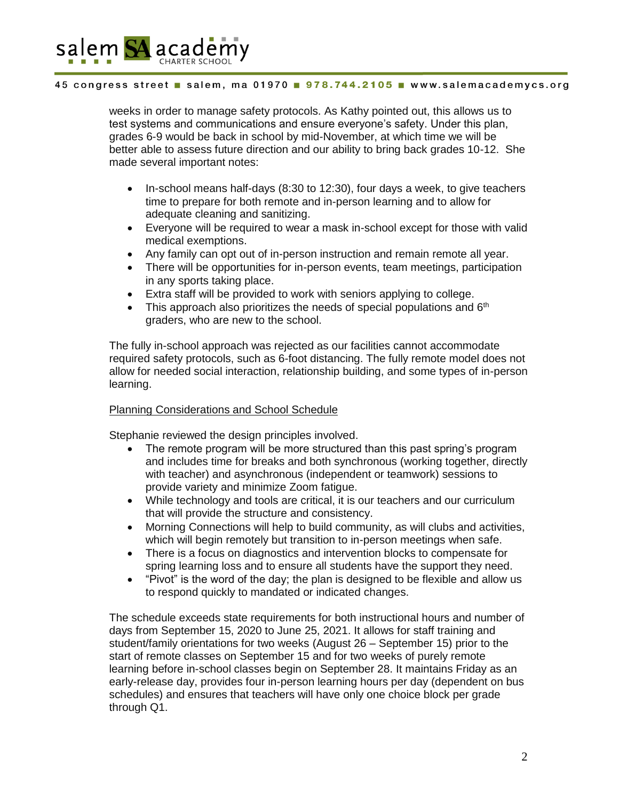

### 45 congress street salem, ma 01970 . 978.744.2105 . www.salemacademycs.org

weeks in order to manage safety protocols. As Kathy pointed out, this allows us to test systems and communications and ensure everyone's safety. Under this plan, grades 6-9 would be back in school by mid-November, at which time we will be better able to assess future direction and our ability to bring back grades 10-12. She made several important notes:

- $\bullet$  In-school means half-days (8:30 to 12:30), four days a week, to give teachers time to prepare for both remote and in-person learning and to allow for adequate cleaning and sanitizing.
- Everyone will be required to wear a mask in-school except for those with valid medical exemptions.
- Any family can opt out of in-person instruction and remain remote all year.
- There will be opportunities for in-person events, team meetings, participation in any sports taking place.
- Extra staff will be provided to work with seniors applying to college.
- This approach also prioritizes the needs of special populations and  $6<sup>th</sup>$ graders, who are new to the school.

The fully in-school approach was rejected as our facilities cannot accommodate required safety protocols, such as 6-foot distancing. The fully remote model does not allow for needed social interaction, relationship building, and some types of in-person learning.

### Planning Considerations and School Schedule

Stephanie reviewed the design principles involved.

- The remote program will be more structured than this past spring's program and includes time for breaks and both synchronous (working together, directly with teacher) and asynchronous (independent or teamwork) sessions to provide variety and minimize Zoom fatigue.
- While technology and tools are critical, it is our teachers and our curriculum that will provide the structure and consistency.
- Morning Connections will help to build community, as will clubs and activities, which will begin remotely but transition to in-person meetings when safe.
- There is a focus on diagnostics and intervention blocks to compensate for spring learning loss and to ensure all students have the support they need.
- "Pivot" is the word of the day; the plan is designed to be flexible and allow us to respond quickly to mandated or indicated changes.

The schedule exceeds state requirements for both instructional hours and number of days from September 15, 2020 to June 25, 2021. It allows for staff training and student/family orientations for two weeks (August 26 – September 15) prior to the start of remote classes on September 15 and for two weeks of purely remote learning before in-school classes begin on September 28. It maintains Friday as an early-release day, provides four in-person learning hours per day (dependent on bus schedules) and ensures that teachers will have only one choice block per grade through Q1.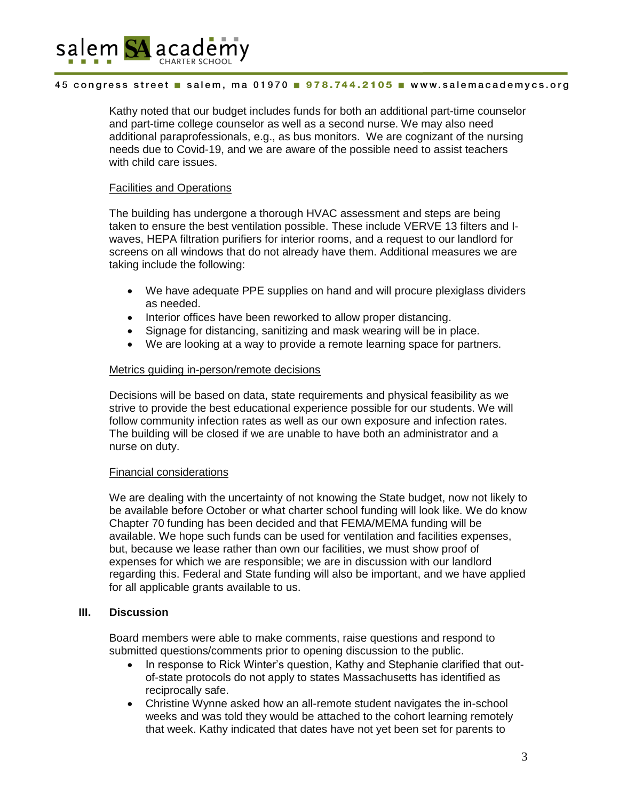

### 45 congress street salem, ma 01970 . 978.744.2105 . www.salemacademycs.org

Kathy noted that our budget includes funds for both an additional part-time counselor and part-time college counselor as well as a second nurse. We may also need additional paraprofessionals, e.g., as bus monitors. We are cognizant of the nursing needs due to Covid-19, and we are aware of the possible need to assist teachers with child care issues.

### Facilities and Operations

The building has undergone a thorough HVAC assessment and steps are being taken to ensure the best ventilation possible. These include VERVE 13 filters and Iwaves, HEPA filtration purifiers for interior rooms, and a request to our landlord for screens on all windows that do not already have them. Additional measures we are taking include the following:

- We have adequate PPE supplies on hand and will procure plexiglass dividers as needed.
- Interior offices have been reworked to allow proper distancing.
- Signage for distancing, sanitizing and mask wearing will be in place.
- We are looking at a way to provide a remote learning space for partners.

### Metrics guiding in-person/remote decisions

Decisions will be based on data, state requirements and physical feasibility as we strive to provide the best educational experience possible for our students. We will follow community infection rates as well as our own exposure and infection rates. The building will be closed if we are unable to have both an administrator and a nurse on duty.

### Financial considerations

We are dealing with the uncertainty of not knowing the State budget, now not likely to be available before October or what charter school funding will look like. We do know Chapter 70 funding has been decided and that FEMA/MEMA funding will be available. We hope such funds can be used for ventilation and facilities expenses, but, because we lease rather than own our facilities, we must show proof of expenses for which we are responsible; we are in discussion with our landlord regarding this. Federal and State funding will also be important, and we have applied for all applicable grants available to us.

# **III. Discussion**

Board members were able to make comments, raise questions and respond to submitted questions/comments prior to opening discussion to the public.

- In response to Rick Winter's question, Kathy and Stephanie clarified that outof-state protocols do not apply to states Massachusetts has identified as reciprocally safe.
- Christine Wynne asked how an all-remote student navigates the in-school weeks and was told they would be attached to the cohort learning remotely that week. Kathy indicated that dates have not yet been set for parents to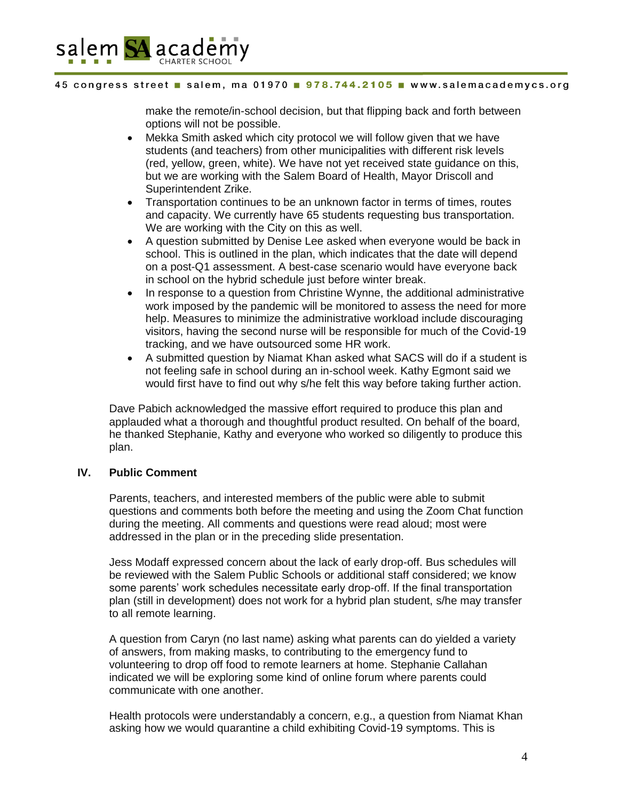

### 45 congress street salem, ma 01970 978.744.2105 www.salemacademycs.org

make the remote/in-school decision, but that flipping back and forth between options will not be possible.

- Mekka Smith asked which city protocol we will follow given that we have students (and teachers) from other municipalities with different risk levels (red, yellow, green, white). We have not yet received state guidance on this, but we are working with the Salem Board of Health, Mayor Driscoll and Superintendent Zrike.
- Transportation continues to be an unknown factor in terms of times, routes and capacity. We currently have 65 students requesting bus transportation. We are working with the City on this as well.
- A question submitted by Denise Lee asked when everyone would be back in school. This is outlined in the plan, which indicates that the date will depend on a post-Q1 assessment. A best-case scenario would have everyone back in school on the hybrid schedule just before winter break.
- In response to a question from Christine Wynne, the additional administrative work imposed by the pandemic will be monitored to assess the need for more help. Measures to minimize the administrative workload include discouraging visitors, having the second nurse will be responsible for much of the Covid-19 tracking, and we have outsourced some HR work.
- A submitted question by Niamat Khan asked what SACS will do if a student is not feeling safe in school during an in-school week. Kathy Egmont said we would first have to find out why s/he felt this way before taking further action.

Dave Pabich acknowledged the massive effort required to produce this plan and applauded what a thorough and thoughtful product resulted. On behalf of the board, he thanked Stephanie, Kathy and everyone who worked so diligently to produce this plan.

### **IV. Public Comment**

Parents, teachers, and interested members of the public were able to submit questions and comments both before the meeting and using the Zoom Chat function during the meeting. All comments and questions were read aloud; most were addressed in the plan or in the preceding slide presentation.

Jess Modaff expressed concern about the lack of early drop-off. Bus schedules will be reviewed with the Salem Public Schools or additional staff considered; we know some parents' work schedules necessitate early drop-off. If the final transportation plan (still in development) does not work for a hybrid plan student, s/he may transfer to all remote learning.

A question from Caryn (no last name) asking what parents can do yielded a variety of answers, from making masks, to contributing to the emergency fund to volunteering to drop off food to remote learners at home. Stephanie Callahan indicated we will be exploring some kind of online forum where parents could communicate with one another.

Health protocols were understandably a concern, e.g., a question from Niamat Khan asking how we would quarantine a child exhibiting Covid-19 symptoms. This is